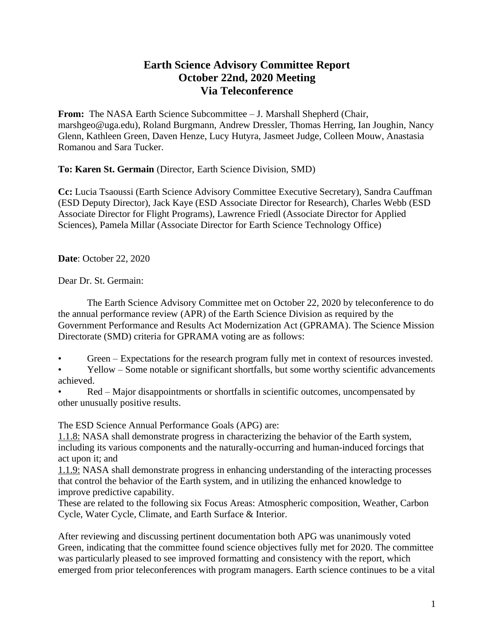## **Earth Science Advisory Committee Report October 22nd, 2020 Meeting Via Teleconference**

**From:** The NASA Earth Science Subcommittee – J. Marshall Shepherd (Chair, marshgeo@uga.edu), Roland Burgmann, Andrew Dressler, Thomas Herring, Ian Joughin, Nancy Glenn, Kathleen Green, Daven Henze, Lucy Hutyra, Jasmeet Judge, Colleen Mouw, Anastasia Romanou and Sara Tucker.

**To: Karen St. Germain** (Director, Earth Science Division, SMD)

**Cc:** Lucia Tsaoussi (Earth Science Advisory Committee Executive Secretary), Sandra Cauffman (ESD Deputy Director), Jack Kaye (ESD Associate Director for Research), Charles Webb (ESD Associate Director for Flight Programs), Lawrence Friedl (Associate Director for Applied Sciences), Pamela Millar (Associate Director for Earth Science Technology Office)

**Date**: October 22, 2020

Dear Dr. St. Germain:

The Earth Science Advisory Committee met on October 22, 2020 by teleconference to do the annual performance review (APR) of the Earth Science Division as required by the Government Performance and Results Act Modernization Act (GPRAMA). The Science Mission Directorate (SMD) criteria for GPRAMA voting are as follows:

Green – Expectations for the research program fully met in context of resources invested.

• Yellow – Some notable or significant shortfalls, but some worthy scientific advancements achieved.

• Red – Major disappointments or shortfalls in scientific outcomes, uncompensated by other unusually positive results.

The ESD Science Annual Performance Goals (APG) are:

1.1.8: NASA shall demonstrate progress in characterizing the behavior of the Earth system, including its various components and the naturally-occurring and human-induced forcings that act upon it; and

1.1.9: NASA shall demonstrate progress in enhancing understanding of the interacting processes that control the behavior of the Earth system, and in utilizing the enhanced knowledge to improve predictive capability.

These are related to the following six Focus Areas: Atmospheric composition, Weather, Carbon Cycle, Water Cycle, Climate, and Earth Surface & Interior.

After reviewing and discussing pertinent documentation both APG was unanimously voted Green, indicating that the committee found science objectives fully met for 2020. The committee was particularly pleased to see improved formatting and consistency with the report, which emerged from prior teleconferences with program managers. Earth science continues to be a vital